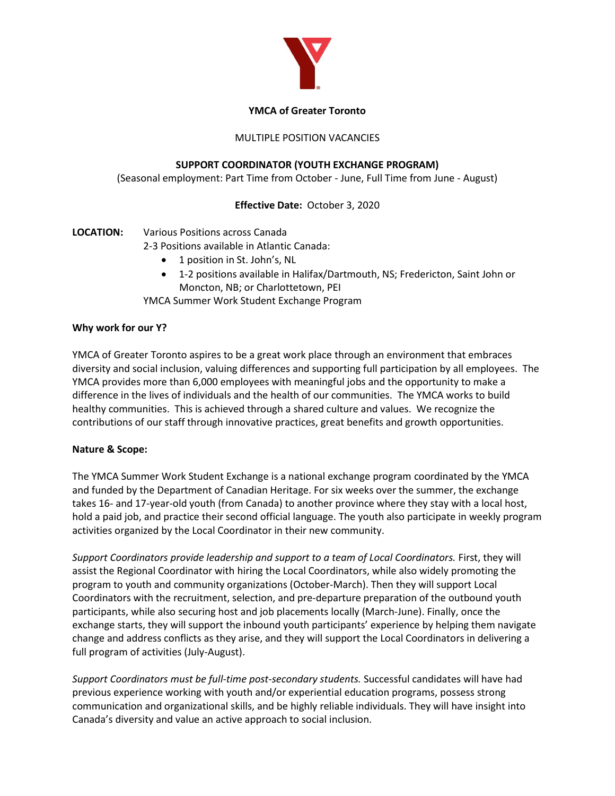

### **YMCA of Greater Toronto**

# MULTIPLE POSITION VACANCIES

# **SUPPORT COORDINATOR (YOUTH EXCHANGE PROGRAM)**

(Seasonal employment: Part Time from October - June, Full Time from June - August)

# **Effective Date:** October 3, 2020

# **LOCATION:** Various Positions across Canada

2-3 Positions available in Atlantic Canada:

- 1 position in St. John's, NL
- x 1-2 positions available in Halifax/Dartmouth, NS; Fredericton, Saint John or Moncton, NB; or Charlottetown, PEI

YMCA Summer Work Student Exchange Program

### **Why work for our Y?**

YMCA of Greater Toronto aspires to be a great work place through an environment that embraces diversity and social inclusion, valuing differences and supporting full participation by all employees. The YMCA provides more than 6,000 employees with meaningful jobs and the opportunity to make a difference in the lives of individuals and the health of our communities. The YMCA works to build healthy communities. This is achieved through a shared culture and values. We recognize the contributions of our staff through innovative practices, great benefits and growth opportunities.

### **Nature & Scope:**

The YMCA Summer Work Student Exchange is a national exchange program coordinated by the YMCA and funded by the Department of Canadian Heritage. For six weeks over the summer, the exchange takes 16- and 17-year-old youth (from Canada) to another province where they stay with a local host, hold a paid job, and practice their second official language. The youth also participate in weekly program activities organized by the Local Coordinator in their new community.

*Support Coordinators provide leadership and support to a team of Local Coordinators.* First, they will assist the Regional Coordinator with hiring the Local Coordinators, while also widely promoting the program to youth and community organizations (October-March). Then they will support Local Coordinators with the recruitment, selection, and pre-departure preparation of the outbound youth participants, while also securing host and job placements locally (March-June). Finally, once the exchange starts, they will support the inbound youth participants' experience by helping them navigate change and address conflicts as they arise, and they will support the Local Coordinators in delivering a full program of activities (July-August).

*Support Coordinators must be full-time post-secondary students.* Successful candidates will have had previous experience working with youth and/or experiential education programs, possess strong communication and organizational skills, and be highly reliable individuals. They will have insight into Canada's diversity and value an active approach to social inclusion.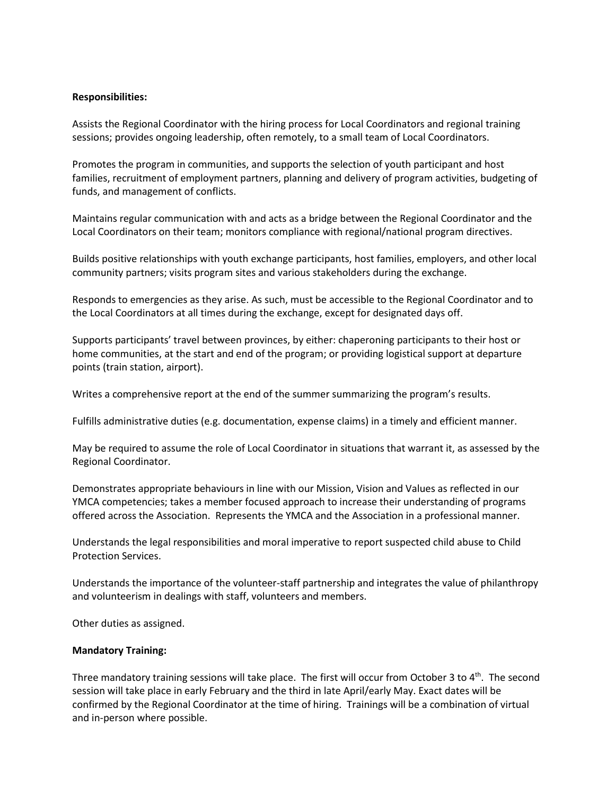#### **Responsibilities:**

Assists the Regional Coordinator with the hiring process for Local Coordinators and regional training sessions; provides ongoing leadership, often remotely, to a small team of Local Coordinators.

Promotes the program in communities, and supports the selection of youth participant and host families, recruitment of employment partners, planning and delivery of program activities, budgeting of funds, and management of conflicts.

Maintains regular communication with and acts as a bridge between the Regional Coordinator and the Local Coordinators on their team; monitors compliance with regional/national program directives.

Builds positive relationships with youth exchange participants, host families, employers, and other local community partners; visits program sites and various stakeholders during the exchange.

Responds to emergencies as they arise. As such, must be accessible to the Regional Coordinator and to the Local Coordinators at all times during the exchange, except for designated days off.

Supports participants' travel between provinces, by either: chaperoning participants to their host or home communities, at the start and end of the program; or providing logistical support at departure points (train station, airport).

Writes a comprehensive report at the end of the summer summarizing the program's results.

Fulfills administrative duties (e.g. documentation, expense claims) in a timely and efficient manner.

May be required to assume the role of Local Coordinator in situations that warrant it, as assessed by the Regional Coordinator.

Demonstrates appropriate behaviours in line with our Mission, Vision and Values as reflected in our YMCA competencies; takes a member focused approach to increase their understanding of programs offered across the Association. Represents the YMCA and the Association in a professional manner.

Understands the legal responsibilities and moral imperative to report suspected child abuse to Child Protection Services.

Understands the importance of the volunteer-staff partnership and integrates the value of philanthropy and volunteerism in dealings with staff, volunteers and members.

Other duties as assigned.

#### **Mandatory Training:**

Three mandatory training sessions will take place. The first will occur from October 3 to  $4<sup>th</sup>$ . The second session will take place in early February and the third in late April/early May. Exact dates will be confirmed by the Regional Coordinator at the time of hiring. Trainings will be a combination of virtual and in-person where possible.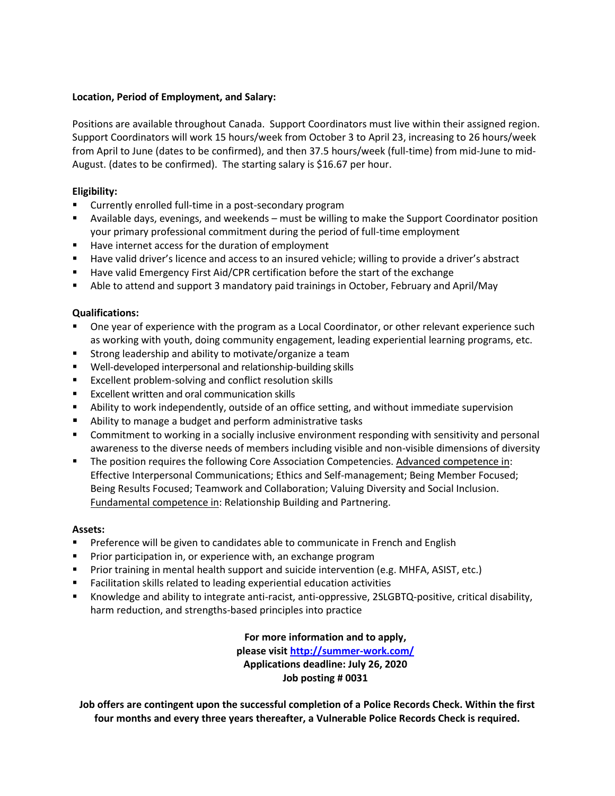## **Location, Period of Employment, and Salary:**

Positions are available throughout Canada. Support Coordinators must live within their assigned region. Support Coordinators will work 15 hours/week from October 3 to April 23, increasing to 26 hours/week from April to June (dates to be confirmed), and then 37.5 hours/week (full-time) from mid-June to mid-August. (dates to be confirmed). The starting salary is \$16.67 per hour.

# **Eligibility:**

- Currently enrolled full-time in a post-secondary program
- Available days, evenings, and weekends must be willing to make the Support Coordinator position your primary professional commitment during the period of full-time employment
- Have internet access for the duration of employment
- Have valid driver's licence and access to an insured vehicle; willing to provide a driver's abstract
- Have valid Emergency First Aid/CPR certification before the start of the exchange
- Able to attend and support 3 mandatory paid trainings in October, February and April/May

### **Qualifications:**

- One year of experience with the program as a Local Coordinator, or other relevant experience such as working with youth, doing community engagement, leading experiential learning programs, etc.
- **Strong leadership and ability to motivate/organize a team**
- Well-developed interpersonal and relationship-building skills
- **Excellent problem-solving and conflict resolution skills**
- **Excellent written and oral communication skills**
- Ability to work independently, outside of an office setting, and without immediate supervision
- Ability to manage a budget and perform administrative tasks
- **Commitment to working in a socially inclusive environment responding with sensitivity and personal** awareness to the diverse needs of members including visible and non-visible dimensions of diversity
- The position requires the following Core Association Competencies. Advanced competence in: Effective Interpersonal Communications; Ethics and Self-management; Being Member Focused; Being Results Focused; Teamwork and Collaboration; Valuing Diversity and Social Inclusion. Fundamental competence in: Relationship Building and Partnering.

### **Assets:**

- **Preference will be given to candidates able to communicate in French and English**
- **Prior participation in, or experience with, an exchange program**
- **Prior training in mental health support and suicide intervention (e.g. MHFA, ASIST, etc.)**
- Facilitation skills related to leading experiential education activities
- Knowledge and ability to integrate anti-racist, anti-oppressive, 2SLGBTQ-positive, critical disability, harm reduction, and strengths-based principles into practice

**For more information and to apply,** 

**please visit http://summer-work.com/ Applications deadline: July 26, 2020 Job posting # 0031**

**Job offers are contingent upon the successful completion of a Police Records Check. Within the first four months and every three years thereafter, a Vulnerable Police Records Check is required.**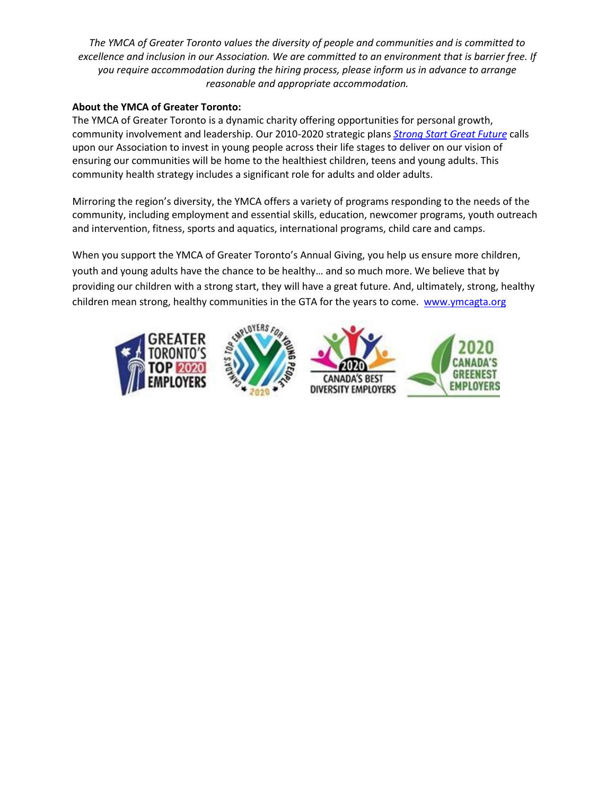*The YMCA of Greater Toronto values the diversity of people and communities and is committed to excellence and inclusion in our Association. We are committed to an environment that is barrier free. If you require accommodation during the hiring process, please inform us in advance to arrange reasonable and appropriate accommodation.*

# **About the YMCA of Greater Toronto:**

The YMCA of Greater Toronto is a dynamic charity offering opportunities for personal growth, community involvement and leadership. Our 2010-2020 strategic plans *Strong Start Great Future* calls upon our Association to invest in young people across their life stages to deliver on our vision of ensuring our communities will be home to the healthiest children, teens and young adults. This community health strategy includes a significant role for adults and older adults.

Mirroring the region's diversity, the YMCA offers a variety of programs responding to the needs of the community, including employment and essential skills, education, newcomer programs, youth outreach and intervention, fitness, sports and aquatics, international programs, child care and camps.

When you support the YMCA of Greater Toronto's Annual Giving, you help us ensure more children, youth and young adults have the chance to be healthy... and so much more. We believe that by providing our children with a strong start, they will have a great future. And, ultimately, strong, healthy children mean strong, healthy communities in the GTA for the years to come. www.ymcagta.org

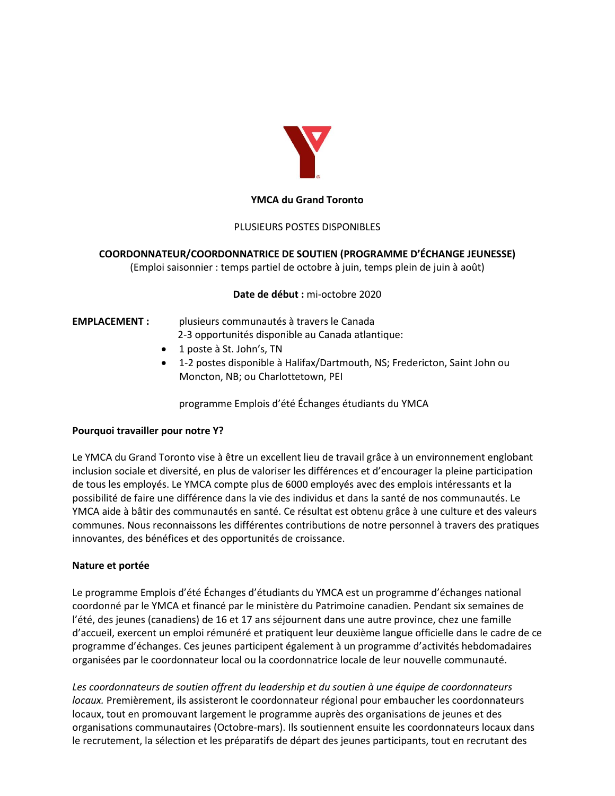

#### **YMCA du Grand Toronto**

### PLUSIEURS POSTES DISPONIBLES

### **COORDONNATEUR/COORDONNATRICE DE SOUTIEN ;PROGRAMME D͛ÉCHANGE JEUNESSE)**

(Emploi saisonnier : temps partiel de octobre à juin, temps plein de juin à août)

**Date de début :** mi-octobre 2020

# **EMPLACEMENT :** plusieurs communautés à travers le Canada 2-3 opportunités disponible au Canada atlantique:

- 1 poste à St. John's, TN
- 1-2 postes disponible à Halifax/Dartmouth, NS; Fredericton, Saint John ou Moncton, NB; ou Charlottetown, PEI

programme Emplois d'été Échanges étudiants du YMCA

#### **Pourquoi travailler pour notre Y?**

Le YMCA du Grand Toronto vise à être un excellent lieu de travail grâce à un environnement englobant inclusion sociale et diversité, en plus de valoriser les différences et d'encourager la pleine participation de tous les employés. Le YMCA compte plus de 6000 employés avec des emplois intéressants et la possibilité de faire une différence dans la vie des individus et dans la santé de nos communautés. Le YMCA aide à bâtir des communautés en santé. Ce résultat est obtenu grâce à une culture et des valeurs communes. Nous reconnaissons les différentes contributions de notre personnel à travers des pratiques innovantes, des bénéfices et des opportunités de croissance.

### **Nature et portée**

Le programme Emplois d'été Échanges d'étudiants du YMCA est un programme d'échanges national coordonné par le YMCA et financé par le ministère du Patrimoine canadien. Pendant six semaines de l'été, des jeunes (canadiens) de 16 et 17 ans séjournent dans une autre province, chez une famille d'accueil, exercent un emploi rémunéré et pratiquent leur deuxième langue officielle dans le cadre de ce programme d'échanges. Ces jeunes participent également à un programme d'activités hebdomadaires organisées par le coordonnateur local ou la coordonnatrice locale de leur nouvelle communauté.

*Les coordonnateurs de soutien offrent du leadership et du soutien à une équipe de coordonnateurs locaux.* Premièrement, ils assisteront le coordonnateur régional pour embaucher les coordonnateurs locaux, tout en promouvant largement le programme auprès des organisations de jeunes et des organisations communautaires (Octobre-mars). Ils soutiennent ensuite les coordonnateurs locaux dans le recrutement, la sélection et les préparatifs de départ des jeunes participants, tout en recrutant des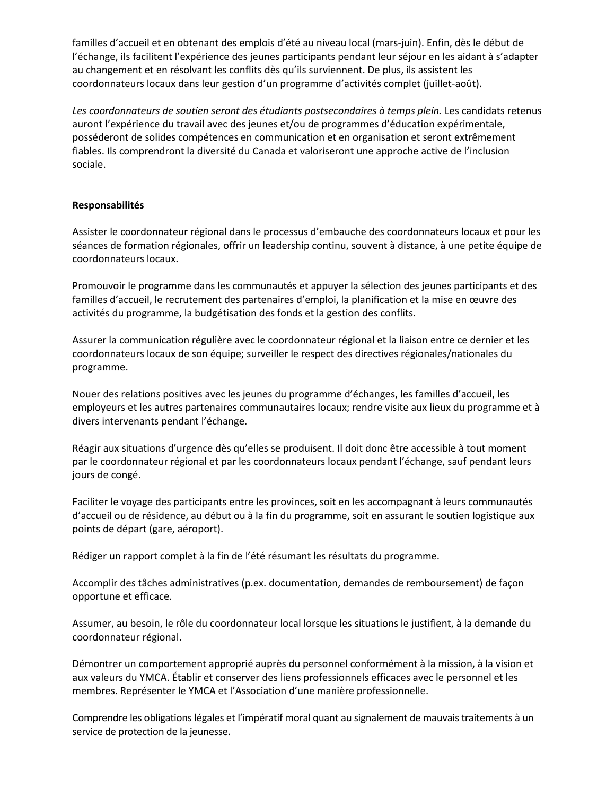familles d'accueil et en obtenant des emplois d'été au niveau local (mars-juin). Enfin, dès le début de l'échange, ils facilitent l'expérience des jeunes participants pendant leur séjour en les aidant à s'adapter au changement et en résolvant les conflits dès qu'ils surviennent. De plus, ils assistent les coordonnateurs locaux dans leur gestion d'un programme d'activités complet (juillet-août).

Les coordonnateurs de soutien seront des étudiants postsecondaires à temps plein. Les candidats retenus auront l'expérience du travail avec des jeunes et/ou de programmes d'éducation expérimentale, posséderont de solides compétences en communication et en organisation et seront extrêmement fiables. Ils comprendront la diversité du Canada et valoriseront une approche active de l'inclusion sociale.

### **Responsabilités**

Assister le coordonnateur régional dans le processus d'embauche des coordonnateurs locaux et pour les séances de formation régionales, offrir un leadership continu, souvent à distance, à une petite équipe de coordonnateurs locaux.

Promouvoir le programme dans les communautés et appuyer la sélection des jeunes participants et des familles d'accueil, le recrutement des partenaires d'emploi, la planification et la mise en œuvre des activités du programme, la budgétisation des fonds et la gestion des conflits.

Assurer la communication régulière avec le coordonnateur régional et la liaison entre ce dernier et les coordonnateurs locaux de son équipe; surveiller le respect des directives régionales/nationales du programme.

Nouer des relations positives avec les jeunes du programme d'échanges, les familles d'accueil, les employeurs et les autres partenaires communautaires locaux; rendre visite aux lieux du programme et à divers intervenants pendant l'échange.

Réagir aux situations d'urgence dès qu'elles se produisent. Il doit donc être accessible à tout moment par le coordonnateur régional et par les coordonnateurs locaux pendant l'échange, sauf pendant leurs jours de congé.

Faciliter le voyage des participants entre les provinces, soit en les accompagnant à leurs communautés d'accueil ou de résidence, au début ou à la fin du programme, soit en assurant le soutien logistique aux points de départ (gare, aéroport).

Rédiger un rapport complet à la fin de l'été résumant les résultats du programme.

Accomplir des tâches administratives (p.ex. documentation, demandes de remboursement) de façon opportune et efficace.

Assumer, au besoin, le rôle du coordonnateur local lorsque les situations le justifient, à la demande du coordonnateur régional.

Démontrer un comportement approprié auprès du personnel conformément à la mission, à la vision et aux valeurs du YMCA. Établir et conserver des liens professionnels efficaces avec le personnel et les membres. Représenter le YMCA et l'Association d'une manière professionnelle.

Comprendre les obligations légales et l'impératif moral quant au signalement de mauvais traitements à un service de protection de la jeunesse.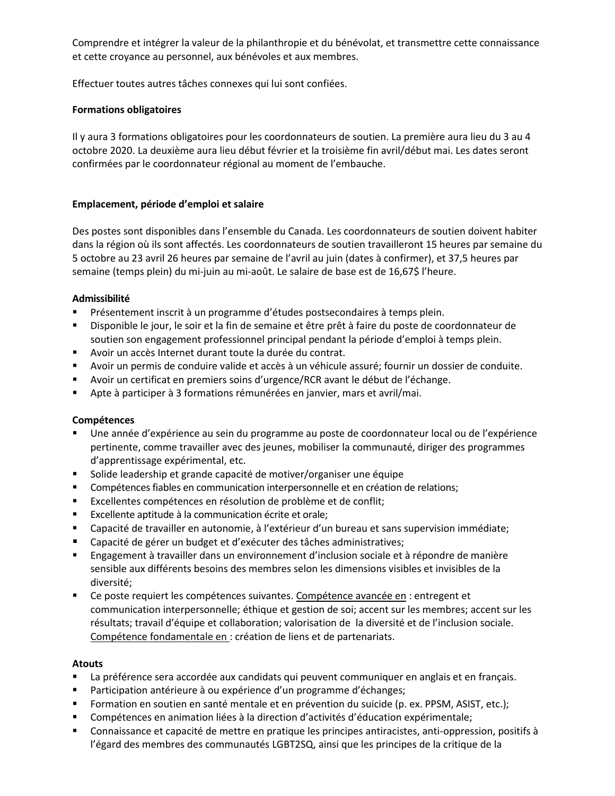Comprendre et intégrer la valeur de la philanthropie et du bénévolat, et transmettre cette connaissance et cette croyance au personnel, aux bénévoles et aux membres.

Effectuer toutes autres tâches connexes qui lui sont confiées.

### **Formations obligatoires**

Il y aura 3 formations obligatoires pour les coordonnateurs de soutien. La première aura lieu du 3 au 4 octobre 2020. La deuxième aura lieu début février et la troisième fin avril/début mai. Les dates seront confirmées par le coordonnateur régional au moment de l'embauche.

# Emplacement, période d'emploi et salaire

Des postes sont disponibles dans l'ensemble du Canada. Les coordonnateurs de soutien doivent habiter dans la région où ils sont affectés. Les coordonnateurs de soutien travailleront 15 heures par semaine du 5 octobre au 23 avril 26 heures par semaine de l'avril au juin (dates à confirmer), et 37,5 heures par semaine (temps plein) du mi-juin au mi-août. Le salaire de base est de 16,67\$ l'heure.

# Admissibilité

- Présentement inscrit à un programme d'études postsecondaires à temps plein.
- " Disponible le jour, le soir et la fin de semaine et être prêt à faire du poste de coordonnateur de soutien son engagement professionnel principal pendant la période d'emploi à temps plein.
- Avoir un accès Internet durant toute la durée du contrat.
- Avoir un permis de conduire valide et accès à un véhicule assuré; fournir un dossier de conduite.
- " Avoir un certificat en premiers soins d'urgence/RCR avant le début de l'échange.
- Apte à participer à 3 formations rémunérées en janvier, mars et avril/mai.

### **Compétences**

- Une année d'expérience au sein du programme au poste de coordonnateur local ou de l'expérience pertinente, comme travailler avec des jeunes, mobiliser la communauté, diriger des programmes d'apprentissage expérimental, etc.
- " Solide leadership et grande capacité de motiver/organiser une équipe
- "Compétences fiables en communication interpersonnelle et en création de relations;
- " Excellentes compétences en résolution de problème et de conflit;
- Excellente aptitude à la communication écrite et orale;
- "Capacité de travailler en autonomie, à l'extérieur d'un bureau et sans supervision immédiate;
- Capacité de gérer un budget et d'exécuter des tâches administratives;
- Engagement à travailler dans un environnement d'inclusion sociale et à répondre de manière sensible aux différents besoins des membres selon les dimensions visibles et invisibles de la diversité;
- Ce poste requiert les compétences suivantes. Compétence avancée en : entregent et communication interpersonnelle; éthique et gestion de soi; accent sur les membres; accent sur les résultats; travail d'équipe et collaboration; valorisation de la diversité et de l'inclusion sociale. Compétence fondamentale en : création de liens et de partenariats.

### **Atouts**

- La préférence sera accordée aux candidats qui peuvent communiquer en anglais et en français.
- " Participation antérieure à ou expérience d'un programme d'échanges;
- " Formation en soutien en santé mentale et en prévention du suicide (p. ex. PPSM, ASIST, etc.);
- "Compétences en animation liées à la direction d'activités d'éducation expérimentale;
- Connaissance et capacité de mettre en pratique les principes antiracistes, anti-oppression, positifs à l'égard des membres des communautés LGBT2SQ, ainsi que les principes de la critique de la